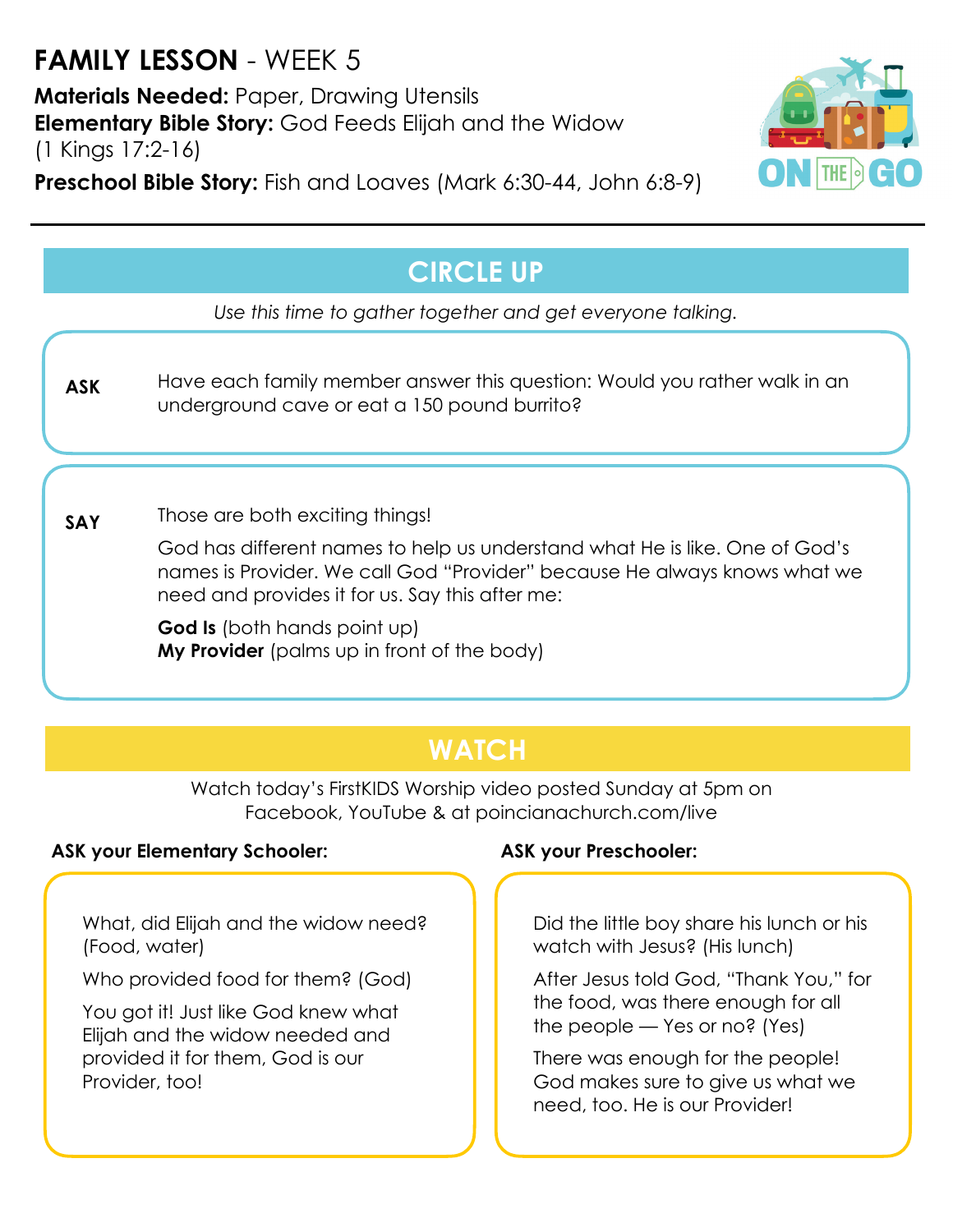# **FAMILY LESSON** - WEEK 5

**Materials Needed:** Paper, Drawing Utensils **Elementary Bible Story:** God Feeds Elijah and the Widow (1 Kings 17:2-16)

**Preschool Bible Story:** Fish and Loaves (Mark 6:30-44, John 6:8-9)



## **CIRCLE UP**

*Use this time to gather together and get everyone talking.*

Have each family member answer this question: Would you rather walk in an underground cave or eat a 150 pound burrito? **ASK**

Those are both exciting things! **SAY**

> God has different names to help us understand what He is like. One of God's names is Provider. We call God "Provider" because He always knows what we need and provides it for us. Say this after me:

**God Is** (both hands point up) **My Provider** (palms up in front of the body)

### **WATCH**

Watch today's FirstKIDS Worship video posted Sunday at 5pm on Facebook, YouTube & at poincianachurch.com/live

### **ASK your Elementary Schooler: ASK your Preschooler:**

What, did Elijah and the widow need? (Food, water)

Who provided food for them? (God)

You got it! Just like God knew what Elijah and the widow needed and provided it for them, God is our Provider, too!

Did the little boy share his lunch or his watch with Jesus? (His lunch)

After Jesus told God, "Thank You," for the food, was there enough for all the people — Yes or no? (Yes)

There was enough for the people! God makes sure to give us what we need, too. He is our Provider!